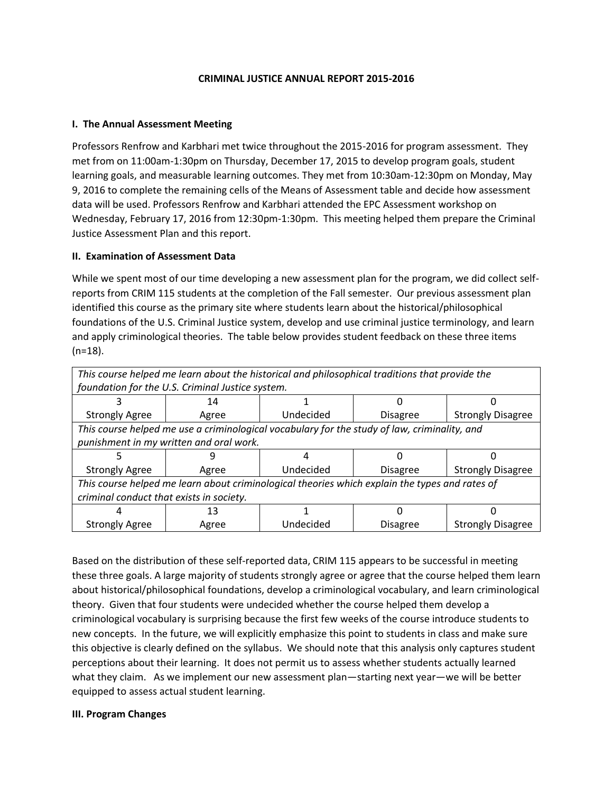#### **CRIMINAL JUSTICE ANNUAL REPORT 2015-2016**

#### **I. The Annual Assessment Meeting**

Professors Renfrow and Karbhari met twice throughout the 2015-2016 for program assessment. They met from on 11:00am-1:30pm on Thursday, December 17, 2015 to develop program goals, student learning goals, and measurable learning outcomes. They met from 10:30am-12:30pm on Monday, May 9, 2016 to complete the remaining cells of the Means of Assessment table and decide how assessment data will be used. Professors Renfrow and Karbhari attended the EPC Assessment workshop on Wednesday, February 17, 2016 from 12:30pm-1:30pm. This meeting helped them prepare the Criminal Justice Assessment Plan and this report.

#### **II. Examination of Assessment Data**

While we spent most of our time developing a new assessment plan for the program, we did collect selfreports from CRIM 115 students at the completion of the Fall semester. Our previous assessment plan identified this course as the primary site where students learn about the historical/philosophical foundations of the U.S. Criminal Justice system, develop and use criminal justice terminology, and learn and apply criminological theories. The table below provides student feedback on these three items (n=18).

| This course helped me learn about the historical and philosophical traditions that provide the |       |           |                 |                          |
|------------------------------------------------------------------------------------------------|-------|-----------|-----------------|--------------------------|
| foundation for the U.S. Criminal Justice system.                                               |       |           |                 |                          |
|                                                                                                | 14    |           |                 |                          |
| <b>Strongly Agree</b>                                                                          | Agree | Undecided | <b>Disagree</b> | <b>Strongly Disagree</b> |
| This course helped me use a criminological vocabulary for the study of law, criminality, and   |       |           |                 |                          |
| punishment in my written and oral work.                                                        |       |           |                 |                          |
|                                                                                                |       |           |                 |                          |
| <b>Strongly Agree</b>                                                                          | Agree | Undecided | <b>Disagree</b> | <b>Strongly Disagree</b> |
| This course helped me learn about criminological theories which explain the types and rates of |       |           |                 |                          |
| criminal conduct that exists in society.                                                       |       |           |                 |                          |
| 4                                                                                              | 13    |           |                 |                          |
| <b>Strongly Agree</b>                                                                          | Agree | Undecided | <b>Disagree</b> | <b>Strongly Disagree</b> |

Based on the distribution of these self-reported data, CRIM 115 appears to be successful in meeting these three goals. A large majority of students strongly agree or agree that the course helped them learn about historical/philosophical foundations, develop a criminological vocabulary, and learn criminological theory. Given that four students were undecided whether the course helped them develop a criminological vocabulary is surprising because the first few weeks of the course introduce students to new concepts. In the future, we will explicitly emphasize this point to students in class and make sure this objective is clearly defined on the syllabus. We should note that this analysis only captures student perceptions about their learning. It does not permit us to assess whether students actually learned what they claim. As we implement our new assessment plan—starting next year—we will be better equipped to assess actual student learning.

#### **III. Program Changes**